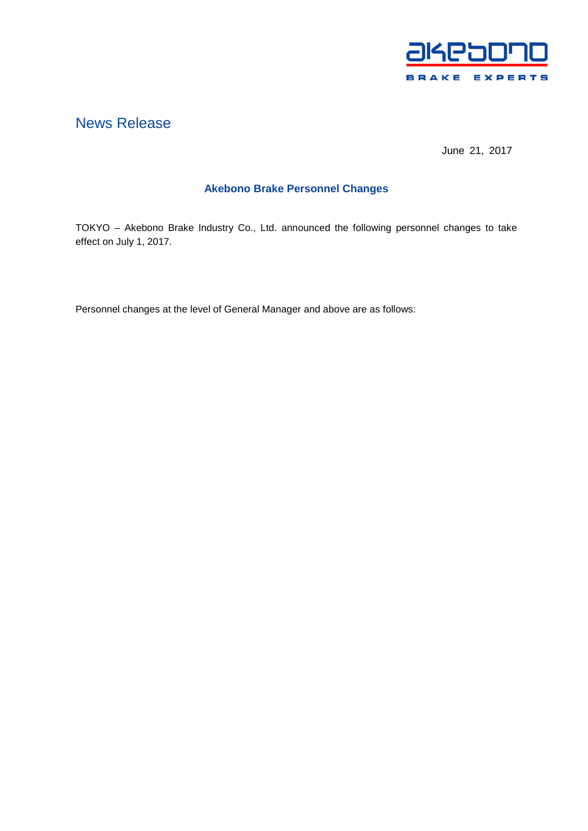

# News Release

June 21, 2017

## **Akebono Brake Personnel Changes**

TOKYO – Akebono Brake Industry Co., Ltd. announced the following personnel changes to take effect on July 1, 2017.

Personnel changes at the level of General Manager and above are as follows: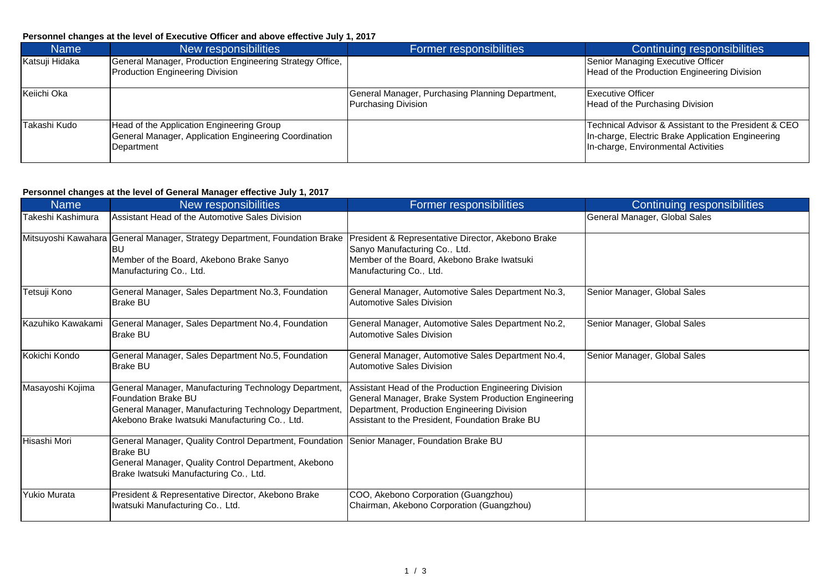### **Personnel changes at the level of Executive Officer and above effective July 1, 2017**

| <b>Name</b>    | New responsibilities                                                                                             | Former responsibilities                                                        | Continuing responsibilities                                                                                                                      |
|----------------|------------------------------------------------------------------------------------------------------------------|--------------------------------------------------------------------------------|--------------------------------------------------------------------------------------------------------------------------------------------------|
| Katsuji Hidaka | General Manager, Production Engineering Strategy Office,<br>Production Engineering Division                      |                                                                                | Senior Managing Executive Officer<br>Head of the Production Engineering Division                                                                 |
|                |                                                                                                                  |                                                                                |                                                                                                                                                  |
| Keiichi Oka    |                                                                                                                  | General Manager, Purchasing Planning Department,<br><b>Purchasing Division</b> | Executive Officer<br>Head of the Purchasing Division                                                                                             |
| Takashi Kudo   | Head of the Application Engineering Group<br>General Manager, Application Engineering Coordination<br>Department |                                                                                | Technical Advisor & Assistant to the President & CEO<br>In-charge, Electric Brake Application Engineering<br>In-charge, Environmental Activities |

### **Personnel changes at the level of General Manager effective July 1, 2017**

| <b>Name</b>         | New responsibilities                                                                                                                                                                           | Former responsibilities                                                                                                                                                                                         | <b>Continuing responsibilities</b> |
|---------------------|------------------------------------------------------------------------------------------------------------------------------------------------------------------------------------------------|-----------------------------------------------------------------------------------------------------------------------------------------------------------------------------------------------------------------|------------------------------------|
| Takeshi Kashimura   | Assistant Head of the Automotive Sales Division                                                                                                                                                |                                                                                                                                                                                                                 | General Manager, Global Sales      |
|                     | Mitsuyoshi Kawahara General Manager, Strategy Department, Foundation Brake<br>BU.<br>Member of the Board, Akebono Brake Sanyo<br>Manufacturing Co., Ltd.                                       | President & Representative Director, Akebono Brake<br>Sanyo Manufacturing Co., Ltd.<br>Member of the Board, Akebono Brake Iwatsuki<br>Manufacturing Co., Ltd.                                                   |                                    |
| Tetsuji Kono        | General Manager, Sales Department No.3, Foundation<br><b>Brake BU</b>                                                                                                                          | General Manager, Automotive Sales Department No.3,<br><b>Automotive Sales Division</b>                                                                                                                          | Senior Manager, Global Sales       |
| Kazuhiko Kawakami   | General Manager, Sales Department No.4, Foundation<br><b>Brake BU</b>                                                                                                                          | General Manager, Automotive Sales Department No.2,<br>Automotive Sales Division                                                                                                                                 | Senior Manager, Global Sales       |
| Kokichi Kondo       | General Manager, Sales Department No.5, Foundation<br><b>Brake BU</b>                                                                                                                          | General Manager, Automotive Sales Department No.4,<br><b>Automotive Sales Division</b>                                                                                                                          | Senior Manager, Global Sales       |
| Masayoshi Kojima    | General Manager, Manufacturing Technology Department,<br><b>Foundation Brake BU</b><br>General Manager, Manufacturing Technology Department,<br>Akebono Brake Iwatsuki Manufacturing Co., Ltd. | Assistant Head of the Production Engineering Division<br>General Manager, Brake System Production Engineering<br>Department, Production Engineering Division<br>Assistant to the President, Foundation Brake BU |                                    |
| Hisashi Mori        | General Manager, Quality Control Department, Foundation<br><b>Brake BU</b><br>General Manager, Quality Control Department, Akebono<br>Brake Iwatsuki Manufacturing Co., Ltd.                   | Senior Manager, Foundation Brake BU                                                                                                                                                                             |                                    |
| <b>Yukio Murata</b> | President & Representative Director, Akebono Brake<br>Iwatsuki Manufacturing Co., Ltd.                                                                                                         | COO, Akebono Corporation (Guangzhou)<br>Chairman, Akebono Corporation (Guangzhou)                                                                                                                               |                                    |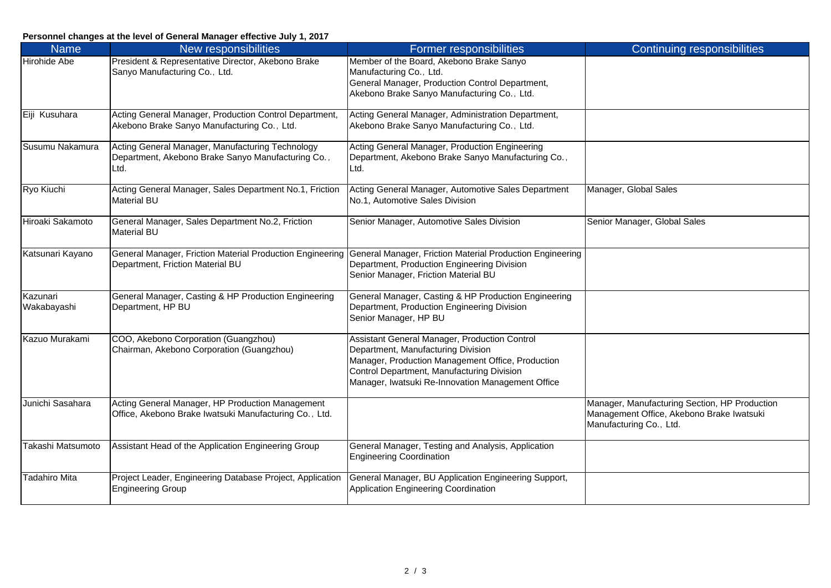### **Personnel changes at the level of General Manager effective July 1, 2017**

| <b>Name</b>             | New responsibilities                                                                                           | Former responsibilities                                                                                                                                                                                                                     | <b>Continuing responsibilities</b>                                                                                    |
|-------------------------|----------------------------------------------------------------------------------------------------------------|---------------------------------------------------------------------------------------------------------------------------------------------------------------------------------------------------------------------------------------------|-----------------------------------------------------------------------------------------------------------------------|
| <b>Hirohide Abe</b>     | President & Representative Director, Akebono Brake<br>Sanyo Manufacturing Co., Ltd.                            | Member of the Board, Akebono Brake Sanyo<br>Manufacturing Co., Ltd.<br>General Manager, Production Control Department,<br>Akebono Brake Sanyo Manufacturing Co., Ltd.                                                                       |                                                                                                                       |
| Eiji Kusuhara           | Acting General Manager, Production Control Department,<br>Akebono Brake Sanyo Manufacturing Co., Ltd.          | Acting General Manager, Administration Department,<br>Akebono Brake Sanyo Manufacturing Co., Ltd.                                                                                                                                           |                                                                                                                       |
| Susumu Nakamura         | Acting General Manager, Manufacturing Technology<br>Department, Akebono Brake Sanyo Manufacturing Co.,<br>Ltd. | Acting General Manager, Production Engineering<br>Department, Akebono Brake Sanyo Manufacturing Co.,<br>Ltd.                                                                                                                                |                                                                                                                       |
| Ryo Kiuchi              | Acting General Manager, Sales Department No.1, Friction<br><b>Material BU</b>                                  | Acting General Manager, Automotive Sales Department<br>No.1, Automotive Sales Division                                                                                                                                                      | Manager, Global Sales                                                                                                 |
| Hiroaki Sakamoto        | General Manager, Sales Department No.2, Friction<br>Material BU                                                | Senior Manager, Automotive Sales Division                                                                                                                                                                                                   | Senior Manager, Global Sales                                                                                          |
| Katsunari Kayano        | Department, Friction Material BU                                                                               | General Manager, Friction Material Production Engineering General Manager, Friction Material Production Engineering<br>Department, Production Engineering Division<br>Senior Manager, Friction Material BU                                  |                                                                                                                       |
| Kazunari<br>Wakabayashi | General Manager, Casting & HP Production Engineering<br>Department, HP BU                                      | General Manager, Casting & HP Production Engineering<br>Department, Production Engineering Division<br>Senior Manager, HP BU                                                                                                                |                                                                                                                       |
| Kazuo Murakami          | COO, Akebono Corporation (Guangzhou)<br>Chairman, Akebono Corporation (Guangzhou)                              | Assistant General Manager, Production Control<br>Department, Manufacturing Division<br>Manager, Production Management Office, Production<br>Control Department, Manufacturing Division<br>Manager, Iwatsuki Re-Innovation Management Office |                                                                                                                       |
| Junichi Sasahara        | Acting General Manager, HP Production Management<br>Office, Akebono Brake Iwatsuki Manufacturing Co., Ltd.     |                                                                                                                                                                                                                                             | Manager, Manufacturing Section, HP Production<br>Management Office, Akebono Brake Iwatsuki<br>Manufacturing Co., Ltd. |
| Takashi Matsumoto       | Assistant Head of the Application Engineering Group                                                            | General Manager, Testing and Analysis, Application<br><b>Engineering Coordination</b>                                                                                                                                                       |                                                                                                                       |
| Tadahiro Mita           | Project Leader, Engineering Database Project, Application<br><b>Engineering Group</b>                          | General Manager, BU Application Engineering Support,<br>Application Engineering Coordination                                                                                                                                                |                                                                                                                       |